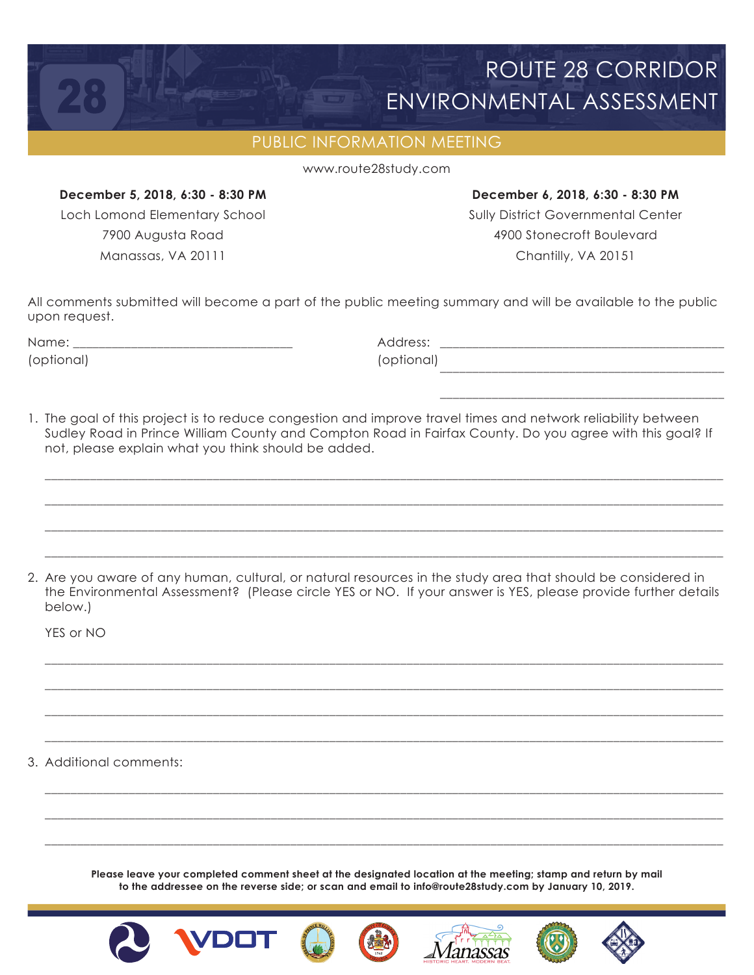## ROUTE 28 CORRIDOR ENVIRONMENTAL ASSESSMENT

## PUBLIC INFORMATION MEETING

www.route28study.com

## **December 5, 2018, 6:30 - 8:30 PM December 6, 2018, 6:30 - 8:30 PM**

Loch Lomond Elementary School **Sully District Governmental Center** 7900 Augusta Road 4900 Stonecroft Boulevard Manassas, VA 20111 Chantilly, VA 20151

All comments submitted will become a part of the public meeting summary and will be available to the public upon request.

| Name                    | .<br>____________<br>_______________________ |
|-------------------------|----------------------------------------------|
| $\sim$ r<br>11 I C<br>∽ |                                              |
|                         |                                              |

1. The goal of this project is to reduce congestion and improve travel times and network reliability between Sudley Road in Prince William County and Compton Road in Fairfax County. Do you agree with this goal? If not, please explain what you think should be added.

\_\_\_\_\_\_\_\_\_\_\_\_\_\_\_\_\_\_\_\_\_\_\_\_\_\_\_\_\_\_\_\_\_\_\_\_\_\_\_\_\_\_\_\_\_\_\_\_\_\_\_\_\_\_\_\_\_\_\_\_\_\_\_\_\_\_\_\_\_\_\_\_\_\_\_\_\_\_\_\_\_\_\_\_\_\_\_\_\_\_\_\_\_\_\_\_\_\_\_\_\_\_\_\_\_

\_\_\_\_\_\_\_\_\_\_\_\_\_\_\_\_\_\_\_\_\_\_\_\_\_\_\_\_\_\_\_\_\_\_\_\_\_\_\_\_\_\_\_\_\_\_\_\_\_\_\_\_\_\_\_\_\_\_\_\_\_\_\_\_\_\_\_\_\_\_\_\_\_\_\_\_\_\_\_\_\_\_\_\_\_\_\_\_\_\_\_\_\_\_\_\_\_\_\_\_\_\_\_\_\_

\_\_\_\_\_\_\_\_\_\_\_\_\_\_\_\_\_\_\_\_\_\_\_\_\_\_\_\_\_\_\_\_\_\_\_\_\_\_\_\_\_\_\_\_\_\_\_\_\_\_\_\_\_\_\_\_\_\_\_\_\_\_\_\_\_\_\_\_\_\_\_\_\_\_\_\_\_\_\_\_\_\_\_\_\_\_\_\_\_\_\_\_\_\_\_\_\_\_\_\_\_\_\_\_\_

\_\_\_\_\_\_\_\_\_\_\_\_\_\_\_\_\_\_\_\_\_\_\_\_\_\_\_\_\_\_\_\_\_\_\_\_\_\_\_\_\_\_\_\_\_\_\_\_\_\_\_\_\_\_\_\_\_\_\_\_\_\_\_\_\_\_\_\_\_\_\_\_\_\_\_\_\_\_\_\_\_\_\_\_\_\_\_\_\_\_\_\_\_\_\_\_\_\_\_\_\_\_\_\_\_

 $\overline{\phantom{a}}$  , and the contract of the contract of the contract of the contract of the contract of the contract of the contract of the contract of the contract of the contract of the contract of the contract of the contrac

2. Are you aware of any human, cultural, or natural resources in the study area that should be considered in the Environmental Assessment? (Please circle YES or NO. If your answer is YES, please provide further details below.)

\_\_\_\_\_\_\_\_\_\_\_\_\_\_\_\_\_\_\_\_\_\_\_\_\_\_\_\_\_\_\_\_\_\_\_\_\_\_\_\_\_\_\_\_\_\_\_\_\_\_\_\_\_\_\_\_\_\_\_\_\_\_\_\_\_\_\_\_\_\_\_\_\_\_\_\_\_\_\_\_\_\_\_\_\_\_\_\_\_\_\_\_\_\_\_\_\_\_\_\_\_\_\_\_\_

\_\_\_\_\_\_\_\_\_\_\_\_\_\_\_\_\_\_\_\_\_\_\_\_\_\_\_\_\_\_\_\_\_\_\_\_\_\_\_\_\_\_\_\_\_\_\_\_\_\_\_\_\_\_\_\_\_\_\_\_\_\_\_\_\_\_\_\_\_\_\_\_\_\_\_\_\_\_\_\_\_\_\_\_\_\_\_\_\_\_\_\_\_\_\_\_\_\_\_\_\_\_\_\_\_

\_\_\_\_\_\_\_\_\_\_\_\_\_\_\_\_\_\_\_\_\_\_\_\_\_\_\_\_\_\_\_\_\_\_\_\_\_\_\_\_\_\_\_\_\_\_\_\_\_\_\_\_\_\_\_\_\_\_\_\_\_\_\_\_\_\_\_\_\_\_\_\_\_\_\_\_\_\_\_\_\_\_\_\_\_\_\_\_\_\_\_\_\_\_\_\_\_\_\_\_\_\_\_\_\_

\_\_\_\_\_\_\_\_\_\_\_\_\_\_\_\_\_\_\_\_\_\_\_\_\_\_\_\_\_\_\_\_\_\_\_\_\_\_\_\_\_\_\_\_\_\_\_\_\_\_\_\_\_\_\_\_\_\_\_\_\_\_\_\_\_\_\_\_\_\_\_\_\_\_\_\_\_\_\_\_\_\_\_\_\_\_\_\_\_\_\_\_\_\_\_\_\_\_\_\_\_\_\_\_\_

\_\_\_\_\_\_\_\_\_\_\_\_\_\_\_\_\_\_\_\_\_\_\_\_\_\_\_\_\_\_\_\_\_\_\_\_\_\_\_\_\_\_\_\_\_\_\_\_\_\_\_\_\_\_\_\_\_\_\_\_\_\_\_\_\_\_\_\_\_\_\_\_\_\_\_\_\_\_\_\_\_\_\_\_\_\_\_\_\_\_\_\_\_\_\_\_\_\_\_\_\_\_\_\_\_

\_\_\_\_\_\_\_\_\_\_\_\_\_\_\_\_\_\_\_\_\_\_\_\_\_\_\_\_\_\_\_\_\_\_\_\_\_\_\_\_\_\_\_\_\_\_\_\_\_\_\_\_\_\_\_\_\_\_\_\_\_\_\_\_\_\_\_\_\_\_\_\_\_\_\_\_\_\_\_\_\_\_\_\_\_\_\_\_\_\_\_\_\_\_\_\_\_\_\_\_\_\_\_\_\_

\_\_\_\_\_\_\_\_\_\_\_\_\_\_\_\_\_\_\_\_\_\_\_\_\_\_\_\_\_\_\_\_\_\_\_\_\_\_\_\_\_\_\_\_\_\_\_\_\_\_\_\_\_\_\_\_\_\_\_\_\_\_\_\_\_\_\_\_\_\_\_\_\_\_\_\_\_\_\_\_\_\_\_\_\_\_\_\_\_\_\_\_\_\_\_\_\_\_\_\_\_\_\_\_\_

YES or NO

3. Additional comments:

**Please leave your completed comment sheet at the designated location at the meeting; stamp and return by mail to the addressee on the reverse side; or scan and email to info@route28study.com by January 10, 2019.**

Aanassas